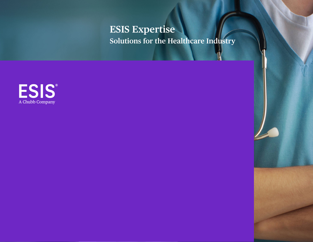**ESIS Expertise Solutions for the Healthcare Industry**

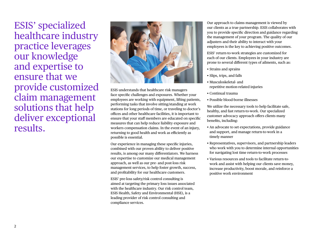ESIS' specialized healthcare industry practice leverages our knowledge and expertise to ensure that we provide customized claim management solutions that help deliver exceptional results.



ESIS understands that healthcare risk managers face specific challenges and exposures. Whether your employees are working with equipment, lifting patients, performing tasks that involve sitting/standing at work stations for long periods of time, or traveling to doctor's offices and other healthcare facilities, it is important to ensure that your staff members are educated on specific measures that can help reduce liability exposure and workers compensation claims. In the event of an injury, returning to good health and work as efficiently as possible is essential.

Our experience in managing these specific injuries, combined with our proven ability to deliver positive results, is among our many differentiators. We harness our expertise to customize our medical management approach, as well as our pre- and post-loss risk management services, to help foster growth, success, and profitability for our healthcare customers.

ESIS' pre-loss safety/risk control consulting is aimed at targeting the primary loss issues associated with the healthcare industry. Our risk control team, ESIS Health, Safety and Environmental (HSE), is a leading provider of risk control consulting and compliance services.

Our approach to claims management is viewed by our clients as a true partnership. ESIS collaborates with you to provide specific direction and guidance regarding the management of your program. The quality of our adjusters and their ability to interact with your employees is the key to achieving positive outcomes.

ESIS' return-to-work strategies are customized for each of our clients. Employees in your industry are prone to several different types of ailments, such as:

- Strains and sprains
- Slips, trips, and falls
- Musculoskeletal- and repetitive motion-related injuries
- Continual trauma
- Possible blood-borne illnesses

We utilize the necessary tools to help facilitate safe, healthy, and fast return-to-work. Our specialized customer advocacy approach offers clients many benefits, including:

- An advocate to set expectations, provide guidance and support, and manage return-to-work in a timely manner
- Representatives, supervisors, and partnership leaders who work with you to determine internal opportunities for navigating lost time return-to-work processes
- Various resources and tools to facilitate return-towork and assist with helping our clients save money, increase productivity, boost morale, and reinforce a positive work environment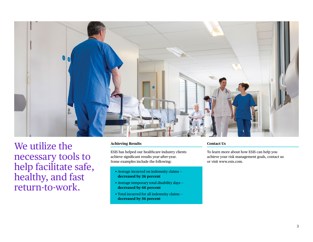

We utilize the necessary tools to help facilitate safe, healthy, and fast return-to-work.

## **Achieving Results**

ESIS has helped our healthcare industry clients achieve significant results year-after-year. Some examples include the following:

- Average incurred on indemnity claims **decreased by 26 percent**
- Average temporary total disability days **decreased by 66 percent**
- Total incurred for all indemnity claims **decreased by 56 percent**

## **Contact Us**

To learn more about how ESIS can help you achieve your risk management goals, contact us or visit [www.esis.com](http://www.esis.com).